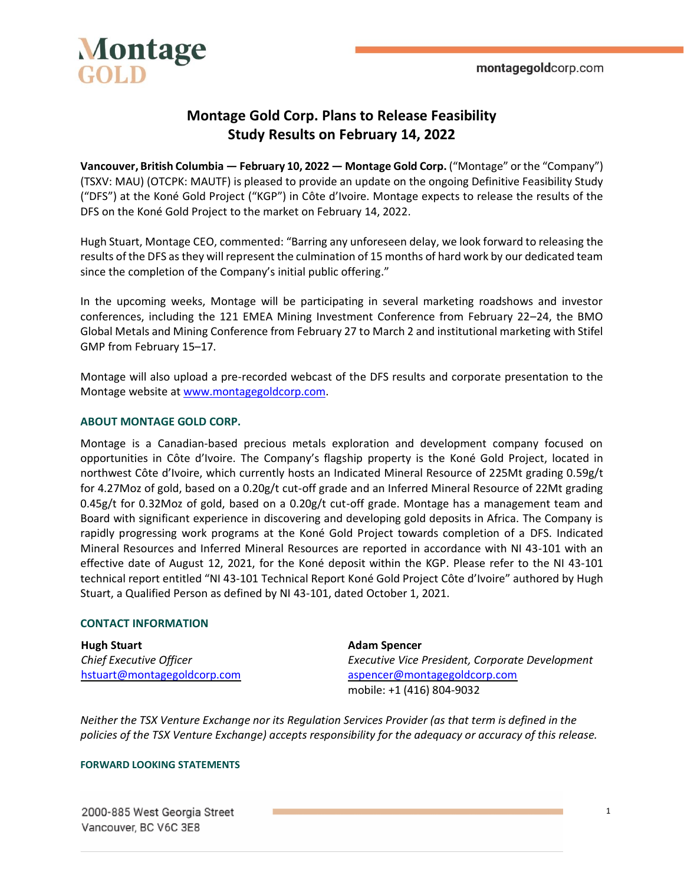

## **Montage Gold Corp. Plans to Release Feasibility Study Results on February 14, 2022**

**Vancouver, British Columbia — February 10, 2022 — Montage Gold Corp.** ("Montage" or the "Company") (TSXV: MAU) (OTCPK: MAUTF) is pleased to provide an update on the ongoing Definitive Feasibility Study ("DFS") at the Koné Gold Project ("KGP") in Côte d'Ivoire. Montage expects to release the results of the DFS on the Koné Gold Project to the market on February 14, 2022.

Hugh Stuart, Montage CEO, commented: "Barring any unforeseen delay, we look forward to releasing the results of the DFS as they will represent the culmination of 15 months of hard work by our dedicated team since the completion of the Company's initial public offering."

In the upcoming weeks, Montage will be participating in several marketing roadshows and investor conferences, including the 121 EMEA Mining Investment Conference from February 22–24, the BMO Global Metals and Mining Conference from February 27 to March 2 and institutional marketing with Stifel GMP from February 15–17.

Montage will also upload a pre-recorded webcast of the DFS results and corporate presentation to the Montage website at [www.montagegoldcorp.com.](http://www.montagegoldcorp.com/)

### **ABOUT MONTAGE GOLD CORP.**

Montage is a Canadian-based precious metals exploration and development company focused on opportunities in Côte d'Ivoire. The Company's flagship property is the Koné Gold Project, located in northwest Côte d'Ivoire, which currently hosts an Indicated Mineral Resource of 225Mt grading 0.59g/t for 4.27Moz of gold, based on a 0.20g/t cut-off grade and an Inferred Mineral Resource of 22Mt grading 0.45g/t for 0.32Moz of gold, based on a 0.20g/t cut-off grade. Montage has a management team and Board with significant experience in discovering and developing gold deposits in Africa. The Company is rapidly progressing work programs at the Koné Gold Project towards completion of a DFS. Indicated Mineral Resources and Inferred Mineral Resources are reported in accordance with NI 43-101 with an effective date of August 12, 2021, for the Koné deposit within the KGP. Please refer to the NI 43-101 technical report entitled "NI 43-101 Technical Report Koné Gold Project Côte d'Ivoire" authored by Hugh Stuart, a Qualified Person as defined by NI 43-101, dated October 1, 2021.

#### **CONTACT INFORMATION**

| <b>Hugh Stuart</b>          | <b>Adam Spencer</b>                             |
|-----------------------------|-------------------------------------------------|
| Chief Executive Officer     | Executive Vice President, Corporate Development |
| hstuart@montagegoldcorp.com | aspencer@montagegoldcorp.com                    |
|                             | mobile: +1 (416) 804-9032                       |

*Neither the TSX Venture Exchange nor its Regulation Services Provider (as that term is defined in the policies of the TSX Venture Exchange) accepts responsibility for the adequacy or accuracy of this release.*

#### **FORWARD LOOKING STATEMENTS**

2000-885 West Georgia Street Vancouver, BC V6C 3E8